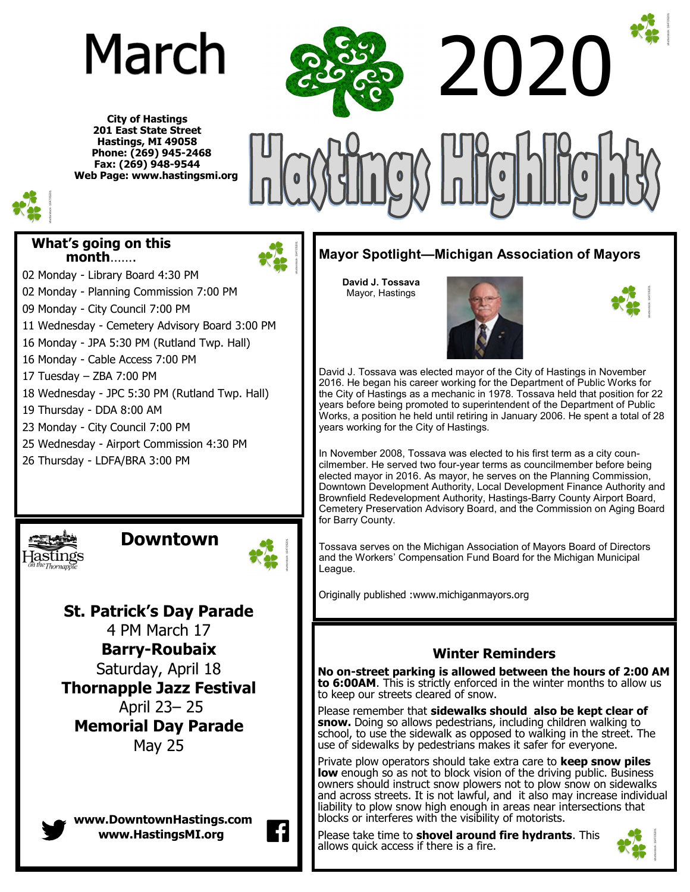# March

**City of Hastings 201 East State Street Hastings, MI 49058 Phone: (269) 945-2468 Fax: (269) 948-9544 Web Page: www.hastingsmi.org**



#### **What's going on this month**…….

- 02 Monday Library Board 4:30 PM
- 02 Monday Planning Commission 7:00 PM
- 09 Monday City Council 7:00 PM
- 11 Wednesday Cemetery Advisory Board 3:00 PM
- 16 Monday JPA 5:30 PM (Rutland Twp. Hall)
- 16 Monday Cable Access 7:00 PM
- 17 Tuesday ZBA 7:00 PM
- 18 Wednesday JPC 5:30 PM (Rutland Twp. Hall)
- 19 Thursday DDA 8:00 AM
- 23 Monday City Council 7:00 PM
- 25 Wednesday Airport Commission 4:30 PM
- 26 Thursday LDFA/BRA 3:00 PM

 **Downtown** 

**St. Patrick's Day Parade** 4 PM March 17 **Barry-Roubaix** Saturday, April 18 **Thornapple Jazz Festival** April 23– 25 **Memorial Day Parade** May 25

**www.DowntownHastings.com www.HastingsMI.org**

2020

## **Mayor Spotlight—Michigan Association of Mayors**

**David J. Tossava** Mayor, Hastings





David J. Tossava was elected mayor of the City of Hastings in November 2016. He began his career working for the Department of Public Works for the City of Hastings as a mechanic in 1978. Tossava held that position for 22 years before being promoted to superintendent of the Department of Public Works, a position he held until retiring in January 2006. He spent a total of 28 years working for the City of Hastings.

In November 2008, Tossava was elected to his first term as a city councilmember. He served two four-year terms as councilmember before being elected mayor in 2016. As mayor, he serves on the Planning Commission, Downtown Development Authority, Local Development Finance Authority and Brownfield Redevelopment Authority, Hastings-Barry County Airport Board, Cemetery Preservation Advisory Board, and the Commission on Aging Board for Barry County.

Tossava serves on the Michigan Association of Mayors Board of Directors and the Workers' Compensation Fund Board for the Michigan Municipal League.

Originally published :www.michiganmayors.org

### **Winter Reminders**

**No on-street parking is allowed between the hours of 2:00 AM to 6:00AM**. This is strictly enforced in the winter months to allow us to keep our streets cleared of snow.

Please remember that **sidewalks should also be kept clear of snow.** Doing so allows pedestrians, including children walking to school, to use the sidewalk as opposed to walking in the street. The use of sidewalks by pedestrians makes it safer for everyone.

Private plow operators should take extra care to **keep snow piles**  low enough so as not to block vision of the driving public. Business owners should instruct snow plowers not to plow snow on sidewalks and across streets. It is not lawful, and it also may increase individual liability to plow snow high enough in areas near intersections that blocks or interferes with the visibility of motorists.

Please take time to **shovel around fire hydrants**. This allows quick access if there is a fire.